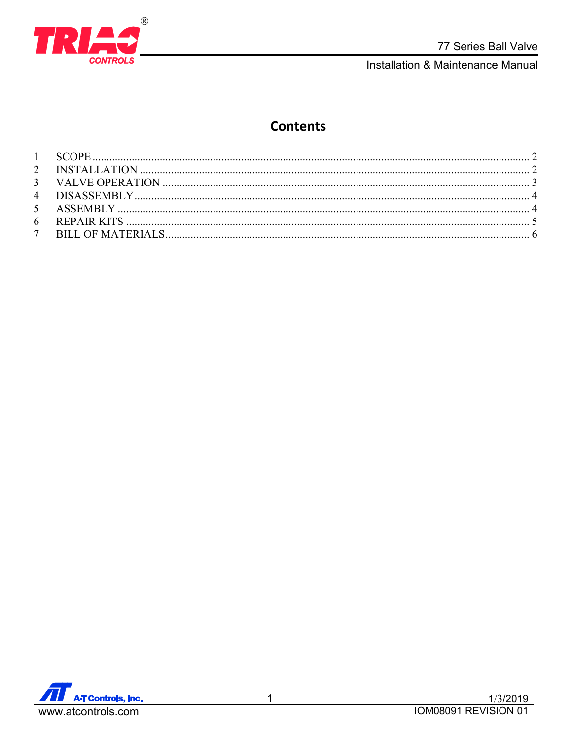

# **Contents**

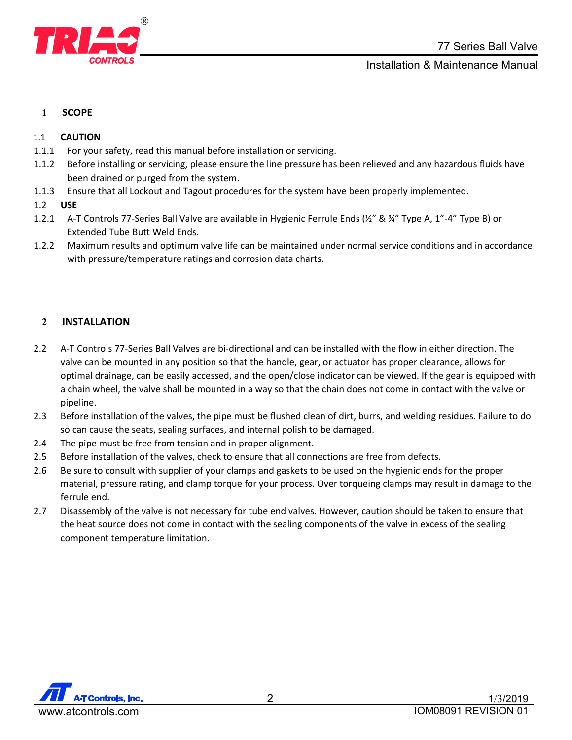

## <span id="page-1-0"></span>**1 SCOPE**

### <span id="page-1-1"></span>1.1 **CAUTION**

- 1.1.1 For your safety, read this manual before installation or servicing.
- 1.1.2 Before installing or servicing, please ensure the line pressure has been relieved and any hazardous fluids have been drained or purged from the system.
- 1.1.3 Ensure that all Lockout and Tagout procedures for the system have been properly implemented.
- 1.2 **USE**
- 1.2.1 A-T Controls 77-Series Ball Valve are available in Hygienic Ferrule Ends (½" & ¾" Type A, 1"-4" Type B) or Extended Tube Butt Weld Ends.
- 1.2.2 Maximum results and optimum valve life can be maintained under normal service conditions and in accordance with pressure/temperature ratings and corrosion data charts.

## **2 INSTALLATION**

- 2.2 A-T Controls 77-Series Ball Valves are bi-directional and can be installed with the flow in either direction. The valve can be mounted in any position so that the handle, gear, or actuator has proper clearance, allows for optimal drainage, can be easily accessed, and the open/close indicator can be viewed. If the gear is equipped with a chain wheel, the valve shall be mounted in a way so that the chain does not come in contact with the valve or pipeline.
- 2.3 Before installation of the valves, the pipe must be flushed clean of dirt, burrs, and welding residues. Failure to do so can cause the seats, sealing surfaces, and internal polish to be damaged.
- 2.4 The pipe must be free from tension and in proper alignment.
- 2.5 Before installation of the valves, check to ensure that all connections are free from defects.
- 2.6 Be sure to consult with supplier of your clamps and gaskets to be used on the hygienic ends for the proper material, pressure rating, and clamp torque for your process. Over torqueing clamps may result in damage to the ferrule end.
- <span id="page-1-2"></span>2.7 Disassembly of the valve is not necessary for tube end valves. However, caution should be taken to ensure that the heat source does not come in contact with the sealing components of the valve in excess of the sealing component temperature limitation.

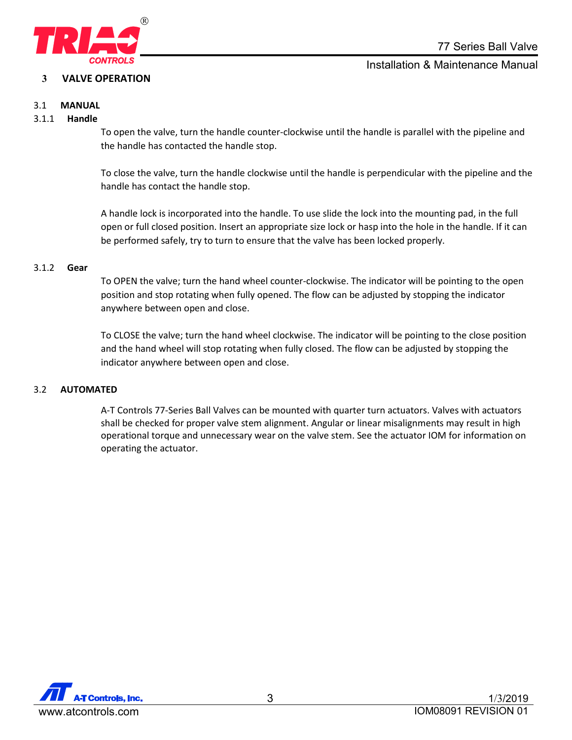

## **3 VALVE OPERATION**

Installation & Maintenance Manual

## 3.1 **MANUAL**

### 3.1.1 **Handle**

To open the valve, turn the handle counter-clockwise until the handle is parallel with the pipeline and the handle has contacted the handle stop.

To close the valve, turn the handle clockwise until the handle is perpendicular with the pipeline and the handle has contact the handle stop.

A handle lock is incorporated into the handle. To use slide the lock into the mounting pad, in the full open or full closed position. Insert an appropriate size lock or hasp into the hole in the handle. If it can be performed safely, try to turn to ensure that the valve has been locked properly.

#### 3.1.2 **Gear**

To OPEN the valve; turn the hand wheel counter-clockwise. The indicator will be pointing to the open position and stop rotating when fully opened. The flow can be adjusted by stopping the indicator anywhere between open and close.

To CLOSE the valve; turn the hand wheel clockwise. The indicator will be pointing to the close position and the hand wheel will stop rotating when fully closed. The flow can be adjusted by stopping the indicator anywhere between open and close.

#### <span id="page-2-0"></span>3.2 **AUTOMATED**

A-T Controls 77-Series Ball Valves can be mounted with quarter turn actuators. Valves with actuators shall be checked for proper valve stem alignment. Angular or linear misalignments may result in high operational torque and unnecessary wear on the valve stem. See the actuator IOM for information on operating the actuator.

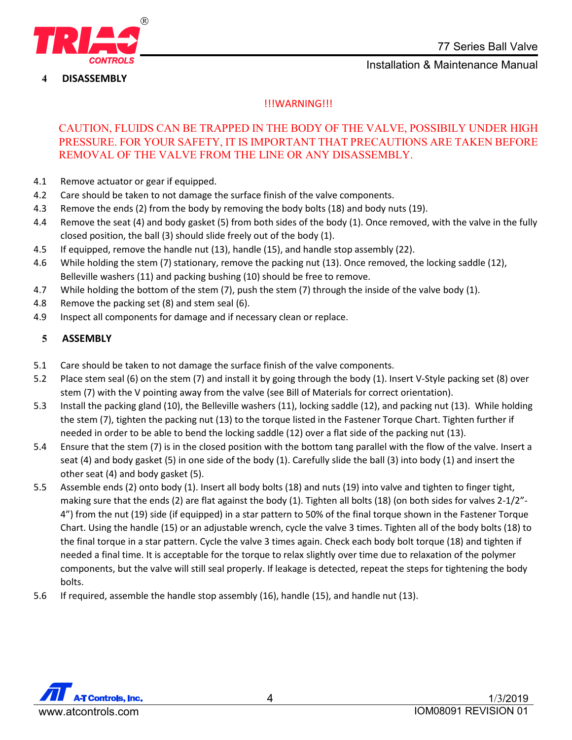

**4 DISASSEMBLY**

## !!!WARNING!!!

## CAUTION, FLUIDS CAN BE TRAPPED IN THE BODY OF THE VALVE, POSSIBILY UNDER HIGH PRESSURE. FOR YOUR SAFETY, IT IS IMPORTANT THAT PRECAUTIONS ARE TAKEN BEFORE REMOVAL OF THE VALVE FROM THE LINE OR ANY DISASSEMBLY.

- 4.1 Remove actuator or gear if equipped.
- 4.2 Care should be taken to not damage the surface finish of the valve components.
- 4.3 Remove the ends (2) from the body by removing the body bolts (18) and body nuts (19).
- 4.4 Remove the seat (4) and body gasket (5) from both sides of the body (1). Once removed, with the valve in the fully closed position, the ball (3) should slide freely out of the body (1).
- 4.5 If equipped, remove the handle nut (13), handle (15), and handle stop assembly (22).
- 4.6 While holding the stem (7) stationary, remove the packing nut (13). Once removed, the locking saddle (12), Belleville washers (11) and packing bushing (10) should be free to remove.
- 4.7 While holding the bottom of the stem (7), push the stem (7) through the inside of the valve body (1).
- 4.8 Remove the packing set (8) and stem seal (6).
- 4.9 Inspect all components for damage and if necessary clean or replace.

## **5 ASSEMBLY**

- 5.1 Care should be taken to not damage the surface finish of the valve components.
- 5.2 Place stem seal (6) on the stem (7) and install it by going through the body (1). Insert V-Style packing set (8) over stem (7) with the V pointing away from the valve (see Bill of Materials for correct orientation).
- 5.3 Install the packing gland (10), the Belleville washers (11), locking saddle (12), and packing nut (13). While holding the stem (7), tighten the packing nut (13) to the torque listed in the Fastener Torque Chart. Tighten further if needed in order to be able to bend the locking saddle (12) over a flat side of the packing nut (13).
- 5.4 Ensure that the stem (7) is in the closed position with the bottom tang parallel with the flow of the valve. Insert a seat (4) and body gasket (5) in one side of the body (1). Carefully slide the ball (3) into body (1) and insert the other seat (4) and body gasket (5).
- 5.5 Assemble ends (2) onto body (1). Insert all body bolts (18) and nuts (19) into valve and tighten to finger tight, making sure that the ends (2) are flat against the body (1). Tighten all bolts (18) (on both sides for valves 2-1/2"-4") from the nut (19) side (if equipped) in a star pattern to 50% of the final torque shown in the Fastener Torque Chart. Using the handle (15) or an adjustable wrench, cycle the valve 3 times. Tighten all of the body bolts (18) to the final torque in a star pattern. Cycle the valve 3 times again. Check each body bolt torque (18) and tighten if needed a final time. It is acceptable for the torque to relax slightly over time due to relaxation of the polymer components, but the valve will still seal properly. If leakage is detected, repeat the steps for tightening the body bolts.
- 5.6 If required, assemble the handle stop assembly (16), handle (15), and handle nut (13).

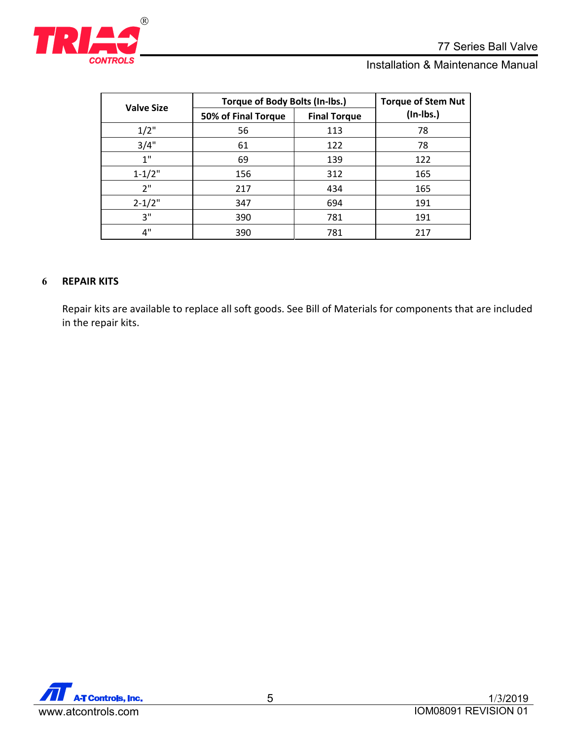

| <b>Valve Size</b> | Torque of Body Bolts (In-lbs.) | <b>Torque of Stem Nut</b> |             |
|-------------------|--------------------------------|---------------------------|-------------|
|                   | 50% of Final Torque            | <b>Final Torque</b>       | $(In-lbs.)$ |
| $1/2$ "           | 56                             | 113                       | 78          |
| 3/4"              | 61                             | 122                       | 78          |
| 1"                | 69                             | 139                       | 122         |
| $1 - 1/2"$        | 156                            | 312                       | 165         |
| 2"                | 217                            | 434                       | 165         |
| $2 - 1/2"$        | 347                            | 694                       | 191         |
| 3"                | 390                            | 781                       | 191         |
| 4"                | 390                            | 781                       | 217         |

## <span id="page-4-0"></span>**6 REPAIR KITS**

<span id="page-4-1"></span>Repair kits are available to replace all soft goods. See Bill of Materials for components that are included in the repair kits.

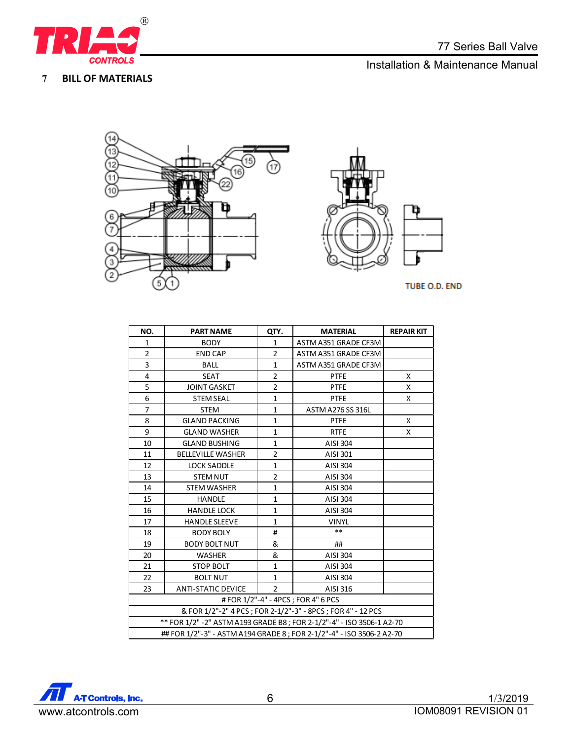

**BILL OF MATERIALS**

# Installation & Maintenance Manual



TUBE O.D. END

| NO.                                                                    | <b>PART NAME</b>          | QTY.           | <b>MATERIAL</b>      | <b>REPAIR KIT</b> |  |  |  |  |
|------------------------------------------------------------------------|---------------------------|----------------|----------------------|-------------------|--|--|--|--|
| 1                                                                      | <b>BODY</b>               | 1              | ASTM A351 GRADE CF3M |                   |  |  |  |  |
| $\overline{2}$                                                         | <b>END CAP</b>            | $\overline{2}$ | ASTM A351 GRADE CF3M |                   |  |  |  |  |
| 3                                                                      | <b>BALL</b>               | $\mathbf{1}$   | ASTM A351 GRADE CF3M |                   |  |  |  |  |
| 4                                                                      | <b>SEAT</b>               | $\overline{2}$ | <b>PTFE</b>          | X                 |  |  |  |  |
| 5                                                                      | <b>JOINT GASKET</b>       | $\overline{2}$ | <b>PTFE</b>          | x                 |  |  |  |  |
| 6                                                                      | <b>STEM SEAL</b>          | 1              | <b>PTFE</b>          | X                 |  |  |  |  |
| $\overline{7}$                                                         | <b>STEM</b>               | $\mathbf{1}$   | ASTM A276 SS 316L    |                   |  |  |  |  |
| 8                                                                      | <b>GLAND PACKING</b>      | $\mathbf{1}$   | <b>PTFE</b>          | X                 |  |  |  |  |
| 9                                                                      | <b>GLAND WASHER</b>       | $\mathbf{1}$   | <b>RTFE</b>          | X                 |  |  |  |  |
| 10                                                                     | <b>GLAND BUSHING</b>      | 1              | AISI 304             |                   |  |  |  |  |
| 11                                                                     | <b>BELLEVILLE WASHER</b>  | $\overline{2}$ | AISI 301             |                   |  |  |  |  |
| 12                                                                     | <b>LOCK SADDLE</b>        | $\mathbf{1}$   | AISI 304             |                   |  |  |  |  |
| 13                                                                     | <b>STEM NUT</b>           | $\overline{2}$ | AISI 304             |                   |  |  |  |  |
| 14                                                                     | <b>STEM WASHER</b>        | $\mathbf{1}$   | AISI 304             |                   |  |  |  |  |
| 15                                                                     | <b>HANDLE</b>             | $\mathbf{1}$   | AISI 304             |                   |  |  |  |  |
| 16                                                                     | <b>HANDLE LOCK</b>        | $\mathbf{1}$   | AISI 304             |                   |  |  |  |  |
| 17                                                                     | <b>HANDLE SLEEVE</b>      | $\mathbf{1}$   | <b>VINYL</b>         |                   |  |  |  |  |
| 18                                                                     | <b>BODY BOLY</b>          | #              | **                   |                   |  |  |  |  |
| 19                                                                     | <b>BODY BOLT NUT</b>      | &              | ##                   |                   |  |  |  |  |
| 20                                                                     | <b>WASHER</b>             | &              | AISI 304             |                   |  |  |  |  |
| 21                                                                     | <b>STOP BOLT</b>          | $\mathbf{1}$   | AISI 304             |                   |  |  |  |  |
| 22                                                                     | <b>BOLT NUT</b>           | $\mathbf{1}$   | AISI 304             |                   |  |  |  |  |
| 23                                                                     | <b>ANTI-STATIC DEVICE</b> | $\mathcal{P}$  | AISI 316             |                   |  |  |  |  |
| #FOR 1/2"-4" - 4PCS; FOR 4" 6 PCS                                      |                           |                |                      |                   |  |  |  |  |
| & FOR 1/2"-2" 4 PCS ; FOR 2-1/2"-3" - 8PCS ; FOR 4" - 12 PCS           |                           |                |                      |                   |  |  |  |  |
| ** FOR 1/2" - 2" ASTM A193 GRADE B8 ; FOR 2-1/2"-4" - ISO 3506-1 A2-70 |                           |                |                      |                   |  |  |  |  |
| ## FOR 1/2"-3" - ASTM A194 GRADE 8; FOR 2-1/2"-4" - ISO 3506-2 A2-70   |                           |                |                      |                   |  |  |  |  |